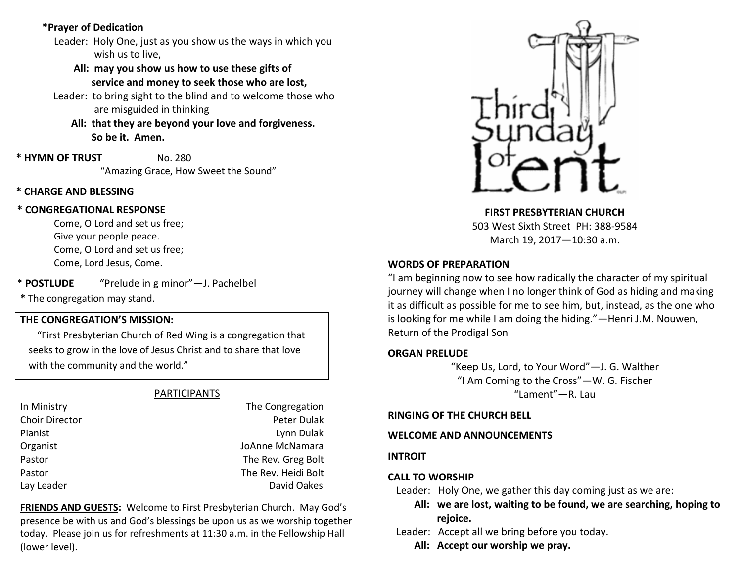# **\*Prayer of Dedication**

- Leader: Holy One, just as you show us the ways in which you wish us to live,
	- **All: may you show us how to use these gifts of service and money to seek those who are lost,**
- Leader: to bring sight to the blind and to welcome those who are misguided in thinking
	- **All: that they are beyond your love and forgiveness. So be it. Amen.**
- **\* HYMN OF TRUST** No. 280 "Amazing Grace, How Sweet the Sound"

# **\* CHARGE AND BLESSING**

# **\* CONGREGATIONAL RESPONSE**

Come, O Lord and set us free; Give your people peace. Come, O Lord and set us free; Come, Lord Jesus, Come.

\* **POSTLUDE** "Prelude in g minor"—J. Pachelbel

**\*** The congregation may stand.

# **THE CONGREGATION'S MISSION:**

"First Presbyterian Church of Red Wing is a congregation that seeks to grow in the love of Jesus Christ and to share that love with the community and the world."

# PARTICIPANTS

| In Ministry           |
|-----------------------|
| <b>Choir Director</b> |
| Pianist               |
| Organist              |
| Pastor                |
| Pastor                |
| Lay Leader            |
|                       |

# The Congregation Peter Dulak Lynn Dulak JoAnne McNamara The Rev. Greg Bolt The Rev. Heidi Bolt David Oakes

**FRIENDS AND GUESTS:** Welcome to First Presbyterian Church. May God's presence be with us and God's blessings be upon us as we worship together today. Please join us for refreshments at 11:30 a.m. in the Fellowship Hall (lower level).



**FIRST PRESBYTERIAN CHURCH** 503 West Sixth Street PH: 388-9584 March 19, 2017—10:30 a.m.

# **WORDS OF PREPARATION**

"I am beginning now to see how radically the character of my spiritual journey will change when I no longer think of God as hiding and making it as difficult as possible for me to see him, but, instead, as the one who is looking for me while I am doing the hiding."—Henri J.M. Nouwen, Return of the Prodigal Son

#### **ORGAN PRELUDE**

"Keep Us, Lord, to Your Word"—J. G. Walther "I Am Coming to the Cross"—W. G. Fischer "Lament"—R. Lau

#### **RINGING OF THE CHURCH BELL**

# **WELCOME AND ANNOUNCEMENTS**

# **INTROIT**

# **CALL TO WORSHIP**

- Leader: Holy One, we gather this day coming just as we are:
	- **All: we are lost, waiting to be found, we are searching, hoping to rejoice.**
- Leader: Accept all we bring before you today.
	- **All: Accept our worship we pray.**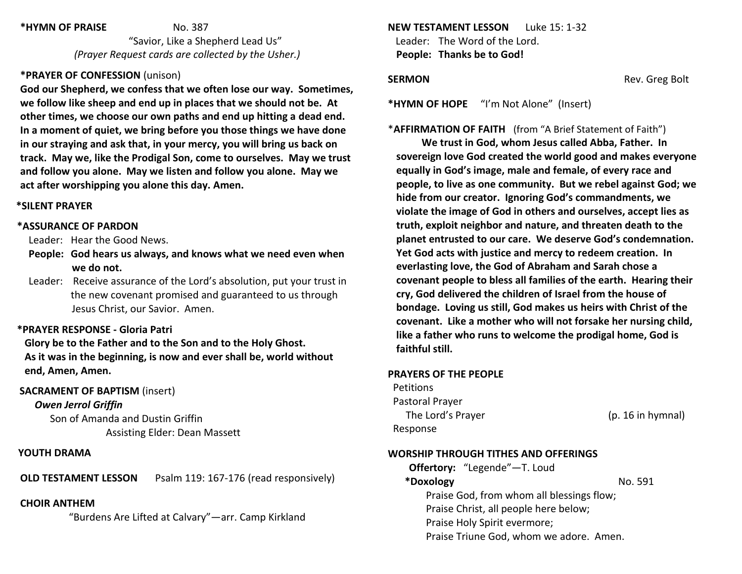#### **\*HYMN OF PRAISE** No. 387

 "Savior, Like a Shepherd Lead Us" *(Prayer Request cards are collected by the Usher.)*

# **\*PRAYER OF CONFESSION** (unison)

**God our Shepherd, we confess that we often lose our way. Sometimes, we follow like sheep and end up in places that we should not be. At other times, we choose our own paths and end up hitting a dead end. In a moment of quiet, we bring before you those things we have done in our straying and ask that, in your mercy, you will bring us back on track. May we, like the Prodigal Son, come to ourselves. May we trust and follow you alone. May we listen and follow you alone. May we act after worshipping you alone this day. Amen.**

# **\*SILENT PRAYER**

# **\*ASSURANCE OF PARDON**

Leader: Hear the Good News.

- **People: God hears us always, and knows what we need even when we do not.**
- Leader: Receive assurance of the Lord's absolution, put your trust in the new covenant promised and guaranteed to us through Jesus Christ, our Savior. Amen.

# **\*PRAYER RESPONSE - Gloria Patri**

 **Glory be to the Father and to the Son and to the Holy Ghost. As it was in the beginning, is now and ever shall be, world without end, Amen, Amen.**

# **SACRAMENT OF BAPTISM** (insert)

*Owen Jerrol Griffin*

 Son of Amanda and Dustin Griffin Assisting Elder: Dean Massett

# **YOUTH DRAMA**

**OLD TESTAMENT LESSON** Psalm 119: 167-176 (read responsively)

# **CHOIR ANTHEM**

"Burdens Are Lifted at Calvary"—arr. Camp Kirkland

**NEW TESTAMENT LESSON** Luke 15: 1-32 Leader: The Word of the Lord. **People: Thanks be to God!**

**SERMON Rev. Greg Bolt** 

**\*HYMN OF HOPE** "I'm Not Alone" (Insert)

# \***AFFIRMATION OF FAITH** (from "A Brief Statement of Faith")

**We trust in God, whom Jesus called Abba, Father. In sovereign love God created the world good and makes everyone equally in God's image, male and female, of every race and people, to live as one community. But we rebel against God; we hide from our creator. Ignoring God's commandments, we violate the image of God in others and ourselves, accept lies as truth, exploit neighbor and nature, and threaten death to the planet entrusted to our care. We deserve God's condemnation. Yet God acts with justice and mercy to redeem creation. In everlasting love, the God of Abraham and Sarah chose a covenant people to bless all families of the earth. Hearing their cry, God delivered the children of Israel from the house of bondage. Loving us still, God makes us heirs with Christ of the covenant. Like a mother who will not forsake her nursing child, like a father who runs to welcome the prodigal home, God is faithful still.**

# **PRAYERS OF THE PEOPLE**

**Petitions**  Pastoral Prayer The Lord's Prayer (p. 16 in hymnal) Response

# **WORSHIP THROUGH TITHES AND OFFERINGS**

**Offertory:** "Legende"—T. Loud **\*Doxology** No. 591 Praise God, from whom all blessings flow; Praise Christ, all people here below; Praise Holy Spirit evermore; Praise Triune God, whom we adore. Amen.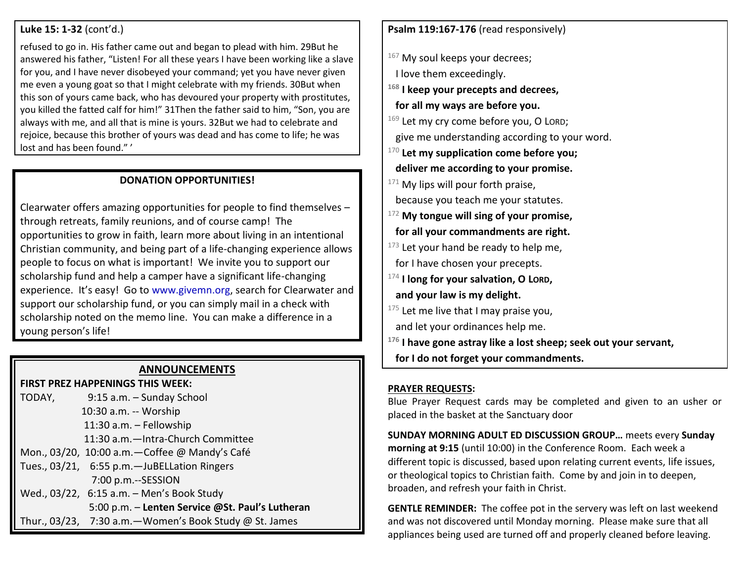#### **Luke 15: 1-32** (cont'd.)

refused to go in. His father came out and began to plead with him. 29But he answered his father, "Listen! For all these years I have been working like a slave for you, and I have never disobeyed your command; yet you have never given me even a young goat so that I might celebrate with my friends. 30But when this son of yours came back, who has devoured your property with prostitutes, you killed the fatted calf for him!" 31Then the father said to him, "Son, you are always with me, and all that is mine is yours. 32But we had to celebrate and rejoice, because this brother of yours was dead and has come to life; he was lost and has been found." '

#### **DONATION OPPORTUNITIES!**

Clearwater offers amazing opportunities for people to find themselves – through retreats, family reunions, and of course camp! The opportunities to grow in faith, learn more about living in an intentional Christian community, and being part of a life-changing experience allows people to focus on what is important! We invite you to support our scholarship fund and help a camper have a significant life-changing experience. It's easy! Go to [www.givemn.org,](http://www.givemn.org/) search for Clearwater and support our scholarship fund, or you can simply mail in a check with scholarship noted on the memo line. You can make a difference in a young person's life!

#### **ANNOUNCEMENTS**

**FIRST PREZ HAPPENINGS THIS WEEK:** TODAY, 9:15 a.m. – Sunday School 10:30 a.m. -- Worship 11:30 a.m. – Fellowship 11:30 a.m.—Intra-Church Committee Mon., 03/20, 10:00 a.m.—Coffee @ Mandy's Café Tues., 03/21, 6:55 p.m.—JuBELLation Ringers 7:00 p.m.--SESSION Wed., 03/22, 6:15 a.m. – Men's Book Study 5:00 p.m. – **Lenten Service @St. Paul's Lutheran** Thur., 03/23, 7:30 a.m.—Women's Book Study @ St. James

**Psalm 119:167-176** (read responsively)

 $167$  My soul keeps your decrees;

I love them exceedingly.

**<sup>168</sup> I keep your precepts and decrees,**

 **for all my ways are before you.** 

169 Let my cry come before you, O LORD;

give me understanding according to your word.

<sup>170</sup> **Let my supplication come before you;**

 **deliver me according to your promise.** 

 $171$  My lips will pour forth praise,

because you teach me your statutes.

<sup>172</sup> **My tongue will sing of your promise, for all your commandments are right.** 

 $173$  Let your hand be ready to help me,

for I have chosen your precepts.

<sup>174</sup> **I long for your salvation, O LORD,**

 **and your law is my delight.** 

 $175$  Let me live that I may praise you,

and let your ordinances help me.

**<sup>176</sup> I have gone astray like a lost sheep; seek out your servant,**

 **for I do not forget your commandments.** 

#### **PRAYER REQUESTS:**

Blue Prayer Request cards may be completed and given to an usher or placed in the basket at the Sanctuary door

**SUNDAY MORNING ADULT ED DISCUSSION GROUP…** meets every **Sunday morning at 9:15** (until 10:00) in the Conference Room. Each week a different topic is discussed, based upon relating current events, life issues, or theological topics to Christian faith. Come by and join in to deepen, broaden, and refresh your faith in Christ.

**GENTLE REMINDER:** The coffee pot in the servery was left on last weekend and was not discovered until Monday morning. Please make sure that all appliances being used are turned off and properly cleaned before leaving.